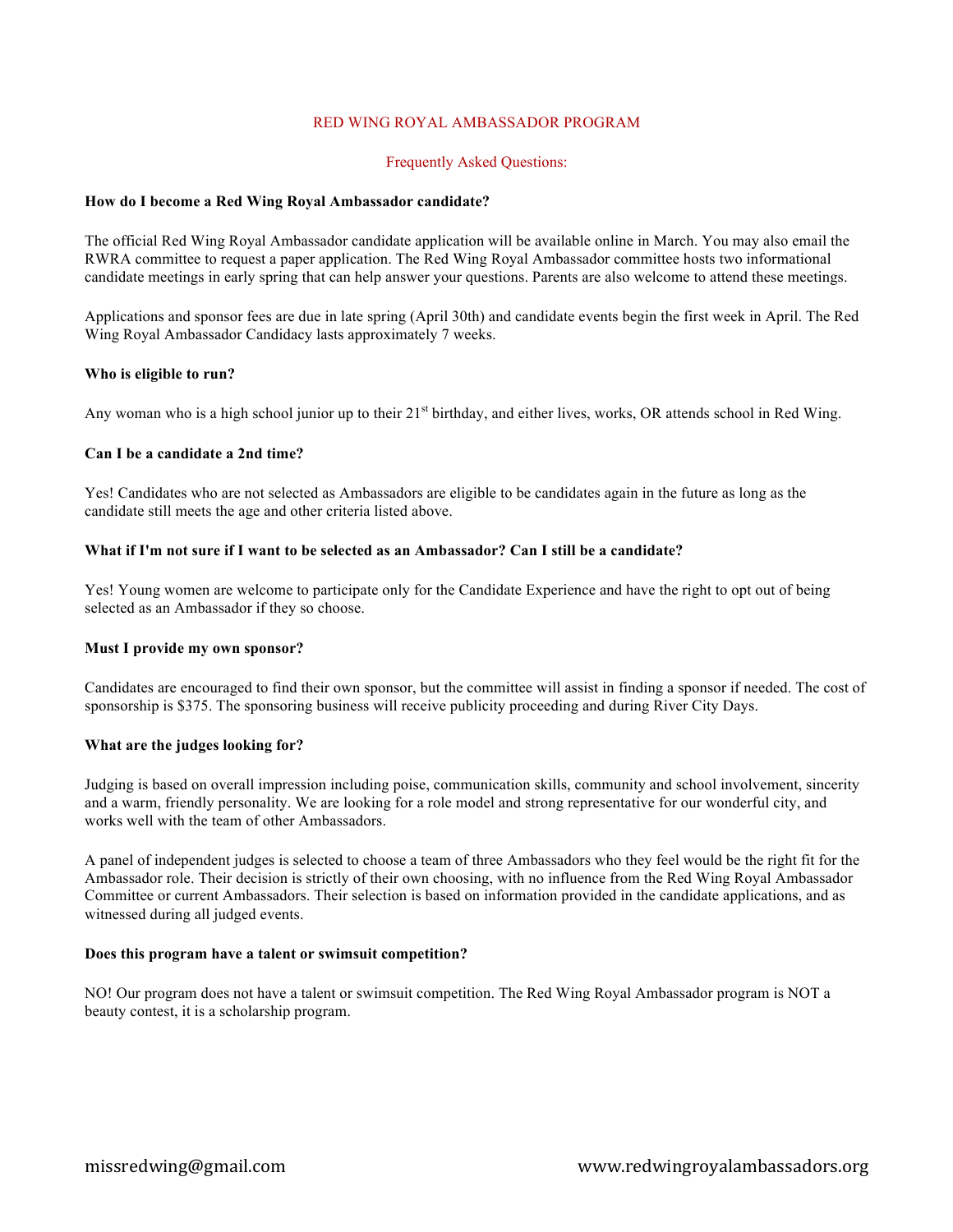# RED WING ROYAL AMBASSADOR PROGRAM

### Frequently Asked Questions:

### **How do I become a Red Wing Royal Ambassador candidate?**

The official Red Wing Royal Ambassador candidate application will be available online in March. You may also email the RWRA committee to request a paper application. The Red Wing Royal Ambassador committee hosts two informational candidate meetings in early spring that can help answer your questions. Parents are also welcome to attend these meetings.

Applications and sponsor fees are due in late spring (April 30th) and candidate events begin the first week in April. The Red Wing Royal Ambassador Candidacy lasts approximately 7 weeks.

#### **Who is eligible to run?**

Any woman who is a high school junior up to their  $21<sup>st</sup>$  birthday, and either lives, works, OR attends school in Red Wing.

## **Can I be a candidate a 2nd time?**

Yes! Candidates who are not selected as Ambassadors are eligible to be candidates again in the future as long as the candidate still meets the age and other criteria listed above.

#### **What if I'm not sure if I want to be selected as an Ambassador? Can I still be a candidate?**

Yes! Young women are welcome to participate only for the Candidate Experience and have the right to opt out of being selected as an Ambassador if they so choose.

#### **Must I provide my own sponsor?**

Candidates are encouraged to find their own sponsor, but the committee will assist in finding a sponsor if needed. The cost of sponsorship is \$375. The sponsoring business will receive publicity proceeding and during River City Days.

# **What are the judges looking for?**

Judging is based on overall impression including poise, communication skills, community and school involvement, sincerity and a warm, friendly personality. We are looking for a role model and strong representative for our wonderful city, and works well with the team of other Ambassadors.

A panel of independent judges is selected to choose a team of three Ambassadors who they feel would be the right fit for the Ambassador role. Their decision is strictly of their own choosing, with no influence from the Red Wing Royal Ambassador Committee or current Ambassadors. Their selection is based on information provided in the candidate applications, and as witnessed during all judged events.

#### **Does this program have a talent or swimsuit competition?**

NO! Our program does not have a talent or swimsuit competition. The Red Wing Royal Ambassador program is NOT a beauty contest, it is a scholarship program.